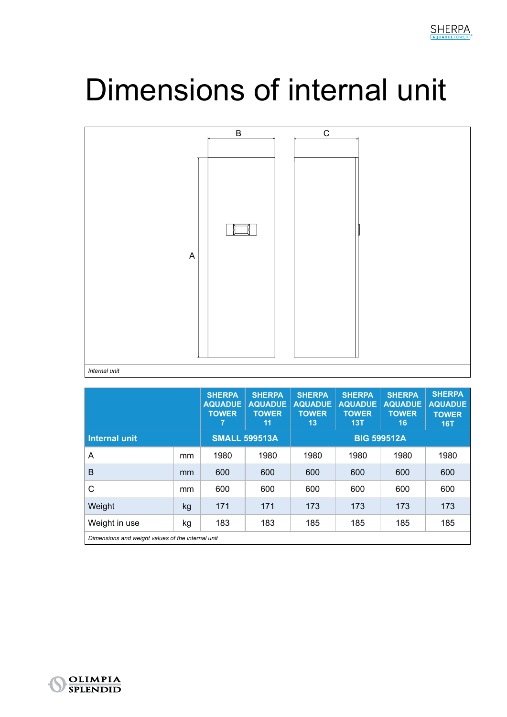## Dimensions of internal unit



|                                                   |    | <b>SHERPA</b><br><b>AQUADUE</b><br><b>TOWER</b><br>7 | <b>SHERPA</b><br><b>AQUADUE</b><br><b>TOWER</b><br>11 | <b>SHERPA</b><br><b>AQUADUE</b><br><b>TOWER</b><br>13 | <b>SHERPA</b><br><b>AQUADUE</b><br><b>TOWER</b><br>13T | <b>SHERPA</b><br><b>AQUADUE</b><br><b>TOWER</b><br>16 | <b>SHERPA</b><br><b>AQUADUE</b><br><b>TOWER</b><br>16T |  |
|---------------------------------------------------|----|------------------------------------------------------|-------------------------------------------------------|-------------------------------------------------------|--------------------------------------------------------|-------------------------------------------------------|--------------------------------------------------------|--|
| Internal unit                                     |    | <b>SMALL 599513A</b>                                 |                                                       | <b>BIG 599512A</b>                                    |                                                        |                                                       |                                                        |  |
| Α                                                 | mm | 1980                                                 | 1980                                                  | 1980                                                  | 1980                                                   | 1980                                                  | 1980                                                   |  |
| B                                                 | mm | 600                                                  | 600                                                   | 600                                                   | 600                                                    | 600                                                   | 600                                                    |  |
| С                                                 | mm | 600                                                  | 600                                                   | 600                                                   | 600                                                    | 600                                                   | 600                                                    |  |
| Weight                                            | kg | 171                                                  | 171                                                   | 173                                                   | 173                                                    | 173                                                   | 173                                                    |  |
| Weight in use                                     | kg | 183                                                  | 183                                                   | 185                                                   | 185                                                    | 185                                                   | 185                                                    |  |
| Dimensions and weight values of the internal unit |    |                                                      |                                                       |                                                       |                                                        |                                                       |                                                        |  |

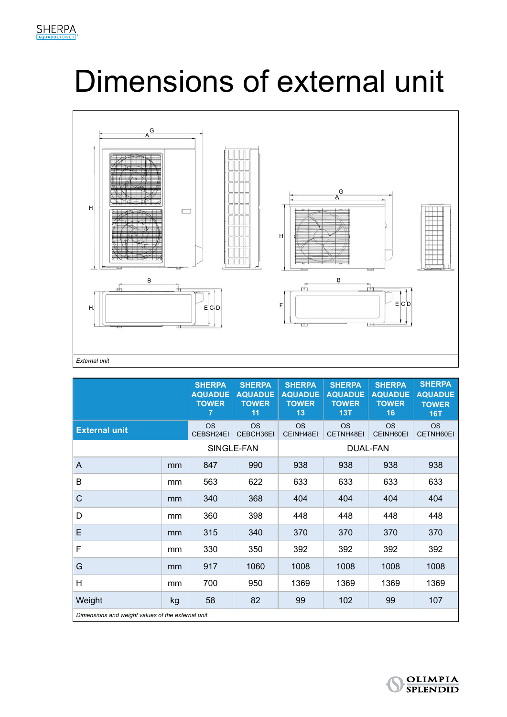## Dimensions of external unit



|                                                   |    | <b>SHERPA</b><br><b>AQUADUE</b><br><b>TOWER</b><br>7 | <b>SHERPA</b><br><b>AQUADUE</b><br><b>TOWER</b><br>11 | <b>SHERPA</b><br><b>AQUADUE</b><br><b>TOWER</b><br>13 | <b>SHERPA</b><br><b>AQUADUE</b><br><b>TOWER</b><br>13T | <b>SHERPA</b><br><b>AQUADUE</b><br><b>TOWER</b><br>16 | <b>SHERPA</b><br><b>AQUADUE</b><br><b>TOWER</b><br><b>16T</b> |  |
|---------------------------------------------------|----|------------------------------------------------------|-------------------------------------------------------|-------------------------------------------------------|--------------------------------------------------------|-------------------------------------------------------|---------------------------------------------------------------|--|
| <b>External unit</b>                              |    | <b>OS</b><br>CEBSH24EI                               | <b>OS</b><br>CEBCH36EI                                | <b>OS</b><br>CEINH48EI                                | <b>OS</b><br>CETNH48EI                                 | <b>OS</b><br>CEINH60EI                                | <b>OS</b><br>CETNH60EI                                        |  |
|                                                   |    | SINGLE-FAN                                           |                                                       | <b>DUAL-FAN</b>                                       |                                                        |                                                       |                                                               |  |
| A                                                 | mm | 847                                                  | 990                                                   | 938                                                   | 938                                                    | 938                                                   | 938                                                           |  |
| B                                                 | mm | 563                                                  | 622                                                   | 633                                                   | 633                                                    | 633                                                   | 633                                                           |  |
| C                                                 | mm | 340                                                  | 368                                                   | 404                                                   | 404                                                    | 404                                                   | 404                                                           |  |
| D                                                 | mm | 360                                                  | 398                                                   | 448                                                   | 448                                                    | 448                                                   | 448                                                           |  |
| E                                                 | mm | 315                                                  | 340                                                   | 370                                                   | 370                                                    | 370                                                   | 370                                                           |  |
| F                                                 | mm | 330                                                  | 350                                                   | 392                                                   | 392                                                    | 392                                                   | 392                                                           |  |
| G                                                 | mm | 917                                                  | 1060                                                  | 1008                                                  | 1008                                                   | 1008                                                  | 1008                                                          |  |
| H                                                 | mm | 700                                                  | 950                                                   | 1369                                                  | 1369                                                   | 1369                                                  | 1369                                                          |  |
| Weight                                            | kg | 58                                                   | 82                                                    | 99                                                    | 102                                                    | 99                                                    | 107                                                           |  |
| Dimensions and weight values of the external unit |    |                                                      |                                                       |                                                       |                                                        |                                                       |                                                               |  |